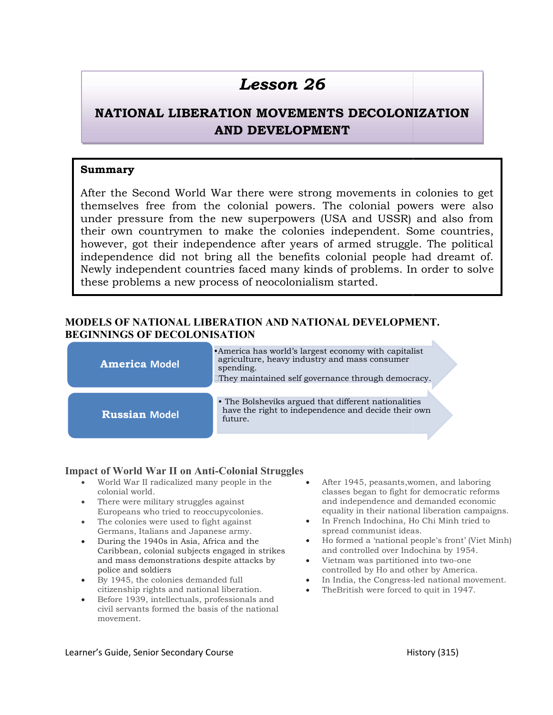## Lesson 26

# NATIONAL LIBERATION MOVEMENTS DECOLONIZATION<br>AND DEVELOPMENT

#### Summary

After the Second World War there were strong movements in colonies to get themselves free from the colonial powers. The colonial powers were also under pressure from the new superpowers (USA and USSR) and also from their own countrymen to make the colonies independent. Some countries, however, got their independence after years of armed struggle. The political independence did not bring all the benefits colonial people had dreamt of. Newly independent countries faced many kinds of problems. In order to solv these problems a new process of neocolonialism started. Second World War there were strong movements in colonies to get<br>is free from the colonial powers. The colonial powers were also<br>essure from the new superpowers (USA and USSR) and also from<br>countrymen to make the colonies i however, got their independence after years of armed strugg<br>independence did not bring all the benefits colonial people<br>Newly independent countries faced many kinds of problems. I

#### MODELS OF NATIONAL LIBERATION AND NATIONAL DEVELOPMENT. BEGINNINGS OF DECOLONISATION BEGINNINGS OF

| these problems a new process of neocolonialism started.                                                                                                                                                                                                                                                                                                                                                                                  |                                                                                                                                                                                  | Newly independent countries faced many kinds of problems. In order to solve                                                                                                                                                                                                                                                                                                               |
|------------------------------------------------------------------------------------------------------------------------------------------------------------------------------------------------------------------------------------------------------------------------------------------------------------------------------------------------------------------------------------------------------------------------------------------|----------------------------------------------------------------------------------------------------------------------------------------------------------------------------------|-------------------------------------------------------------------------------------------------------------------------------------------------------------------------------------------------------------------------------------------------------------------------------------------------------------------------------------------------------------------------------------------|
| <b>BEGINNINGS OF DECOLONISATION</b>                                                                                                                                                                                                                                                                                                                                                                                                      |                                                                                                                                                                                  | MODELS OF NATIONAL LIBERATION AND NATIONAL DEVELOPMENT.                                                                                                                                                                                                                                                                                                                                   |
| <b>America Model</b>                                                                                                                                                                                                                                                                                                                                                                                                                     | • America has world's largest economy with capitalist<br>agriculture, heavy industry and mass consumer<br>spending.<br>$\Box$ They maintained self governance through democracy. |                                                                                                                                                                                                                                                                                                                                                                                           |
| <b>Russian Model</b>                                                                                                                                                                                                                                                                                                                                                                                                                     | future.                                                                                                                                                                          | • The Bolsheviks argued that different nationalities<br>have the right to independence and decide their own                                                                                                                                                                                                                                                                               |
| <b>Impact of World War II on Anti-Colonial Struggles</b><br>World War II radicalized many people in the<br>colonial world.<br>There were military struggles against<br>$\bullet$<br>Europeans who tried to reoccupycolonies.<br>The colonies were used to fight against<br>$\bullet$<br>Germans, Italians and Japanese army.<br>During the 1940s in Asia, Africa and the<br>$\bullet$<br>Caribbean, colonial subjects engaged in strikes |                                                                                                                                                                                  | After 1945, peasants, women, and laboring<br>classes began to fight for democratic reforms<br>and independence and demanded economic<br>equality in their national liberation campaigns.<br>In French Indochina, Ho Chi Minh tried to<br>$\bullet$<br>spread communist ideas.<br>Ho formed a 'national people's front' (Viet Minh)<br>$\bullet$<br>and controlled over Indochina by 1954. |
| and mass demonstrations despite attacks by<br>police and soldiers<br>By 1945, the colonies demanded full<br>citizenship rights and national liberation.                                                                                                                                                                                                                                                                                  |                                                                                                                                                                                  | Vietnam was partitioned into two-one<br>$\bullet$<br>controlled by Ho and other by America.<br>In India, the Congress-led national movement.<br>$\bullet$<br>The British were forced to quit in 1947.<br>$\bullet$                                                                                                                                                                        |

#### Impact of World War II on Anti-Colonial Struggles

- World War II radicalized many people in the colonial world.
- There were military struggles against Europeans who tried to reoccupycolonies.
- Europeans who tried to reoccupycolonie<br>• The colonies were used to fight against Germans, Italians and Japanese army.
- Germans, Italians and Japanese army.<br>• During the 1940s in Asia, Africa and the Caribbean, colonial subjects engaged in Caribbean, colonial engaged in strikes and mass demonstrations despite attacks by police and soldiers
- By 1945, the colonies demanded full citizenship rights and national liberation.
- citizenship rights and national liberation.<br>• Before 1939, intellectuals, professionals and civil servants formed the basis of the national movement.
- many people in the and the states of the allows of the allows of the allows of the allows of the allows of the allows of the allows of the allows of the allows of the allows of the allows of the allows of the allows of the classes began to fight for democratic reforms and independence and demanded economic classes began to fight for democratic reforms<br>and independence and demanded economic<br>equality in their national liberation campaigns. After 1945, peasants, women, and laboring
	- In French Indochina, Ho Chi Minh tried to French Indochina, Ho Chi Minh spread communist ideas.
	- Ho formed a 'national people's front' (Viet Minh) and controlled over Indochina by 1954.
	- and controlled over Indochina by 1954.<br>• Vietnam was partitioned into two-one controlled by Ho and other by America.
	- In India, the Congress-led national movement.
	- TheBritish were forced to quit in 1947.

#### Learner's Guide, Senior Secondary Course **Example 20 and Senior August** History (315)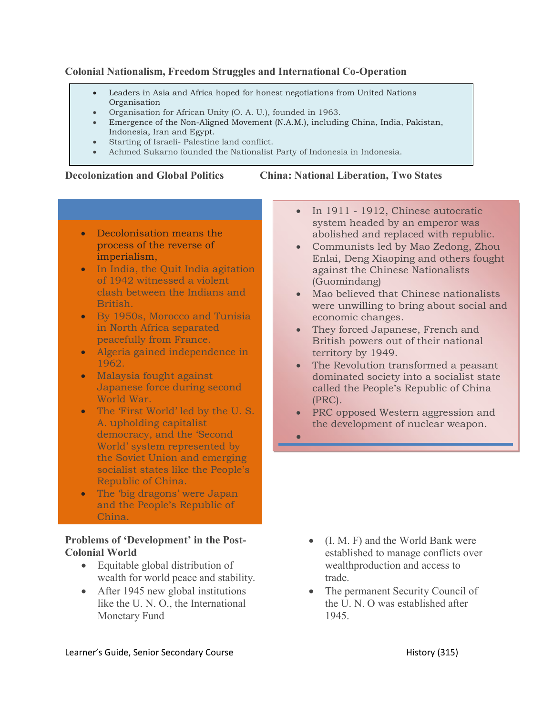### Colonial Nationalism, Freedom Struggles and International Co-Operation

- Leaders in Asia and Africa hoped for honest negotiations from United Nations Organisation
- Organisation for African Unity (O. A. U.), founded in 1963.
- Emergence of the Non-Aligned Movement (N.A.M.), including China, India, Pakistan, Indonesia, Iran and Egypt.
- Starting of Israeli- Palestine land conflict.
- Achmed Sukarno founded the Nationalist Party of Indonesia in Indonesia.

#### Decolonization and Global Politics China: National Liberation, Two States

- Decolonisation means the process of the reverse of imperialism,
- In India, the Quit India agitation of 1942 witnessed a violent clash between the Indians and British.
- By 1950s, Morocco and Tunisia in North Africa separated peacefully from France.
- Algeria gained independence in 1962.
- Malaysia fought against Japanese force during second World War.
- The 'First World' led by the U. S. A. upholding capitalist democracy, and the 'Second World' system represented by the Soviet Union and emerging socialist states like the People՚s Republic of China.
- The 'big dragons' were Japan and the People՚s Republic of China.

#### Problems of 'Development' in the Post-Colonial World

- Equitable global distribution of wealth for world peace and stability.
- After 1945 new global institutions like the U. N. O., the International Monetary Fund
- In 1911 1912, Chinese autocratic system headed by an emperor was abolished and replaced with republic.
- Communists led by Mao Zedong, Zhou Enlai, Deng Xiaoping and others fought against the Chinese Nationalists (Guomindang)
- Mao believed that Chinese nationalists were unwilling to bring about social and economic changes.
- They forced Japanese, French and British powers out of their national territory by 1949.
- The Revolution transformed a peasant dominated society into a socialist state called the People՚s Republic of China (PRC).
- PRC opposed Western aggression and the development of nuclear weapon.
- $\bullet$

- (I. M. F) and the World Bank were established to manage conflicts over wealthproduction and access to trade.
- The permanent Security Council of the U. N. O was established after 1945.